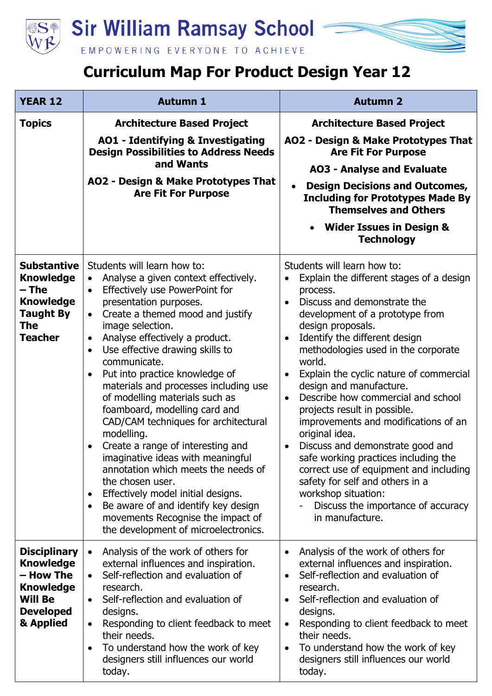

## **Curriculum Map For Product Design Year 12**

| <b>YEAR 12</b>                                                                                                              | <b>Autumn 1</b>                                                                                                                                                                                                                                                                                                                                                                                                                                                                                                                                                                                                                                                                                                                                                                                                                                                                         | <b>Autumn 2</b>                                                                                                                                                                                                                                                                                                                                                                                                                                                                                                                                                                                                                                                                                                                                                                           |
|-----------------------------------------------------------------------------------------------------------------------------|-----------------------------------------------------------------------------------------------------------------------------------------------------------------------------------------------------------------------------------------------------------------------------------------------------------------------------------------------------------------------------------------------------------------------------------------------------------------------------------------------------------------------------------------------------------------------------------------------------------------------------------------------------------------------------------------------------------------------------------------------------------------------------------------------------------------------------------------------------------------------------------------|-------------------------------------------------------------------------------------------------------------------------------------------------------------------------------------------------------------------------------------------------------------------------------------------------------------------------------------------------------------------------------------------------------------------------------------------------------------------------------------------------------------------------------------------------------------------------------------------------------------------------------------------------------------------------------------------------------------------------------------------------------------------------------------------|
| <b>Topics</b>                                                                                                               | <b>Architecture Based Project</b>                                                                                                                                                                                                                                                                                                                                                                                                                                                                                                                                                                                                                                                                                                                                                                                                                                                       | <b>Architecture Based Project</b>                                                                                                                                                                                                                                                                                                                                                                                                                                                                                                                                                                                                                                                                                                                                                         |
|                                                                                                                             | <b>AO1 - Identifying &amp; Investigating</b><br><b>Design Possibilities to Address Needs</b>                                                                                                                                                                                                                                                                                                                                                                                                                                                                                                                                                                                                                                                                                                                                                                                            | AO2 - Design & Make Prototypes That<br><b>Are Fit For Purpose</b>                                                                                                                                                                                                                                                                                                                                                                                                                                                                                                                                                                                                                                                                                                                         |
|                                                                                                                             | and Wants                                                                                                                                                                                                                                                                                                                                                                                                                                                                                                                                                                                                                                                                                                                                                                                                                                                                               | <b>AO3 - Analyse and Evaluate</b>                                                                                                                                                                                                                                                                                                                                                                                                                                                                                                                                                                                                                                                                                                                                                         |
|                                                                                                                             | AO2 - Design & Make Prototypes That<br><b>Are Fit For Purpose</b>                                                                                                                                                                                                                                                                                                                                                                                                                                                                                                                                                                                                                                                                                                                                                                                                                       | <b>Design Decisions and Outcomes,</b><br><b>Including for Prototypes Made By</b><br><b>Themselves and Others</b>                                                                                                                                                                                                                                                                                                                                                                                                                                                                                                                                                                                                                                                                          |
|                                                                                                                             |                                                                                                                                                                                                                                                                                                                                                                                                                                                                                                                                                                                                                                                                                                                                                                                                                                                                                         | <b>Wider Issues in Design &amp;</b><br><b>Technology</b>                                                                                                                                                                                                                                                                                                                                                                                                                                                                                                                                                                                                                                                                                                                                  |
| <b>Substantive</b><br><b>Knowledge</b><br>– The<br><b>Knowledge</b><br><b>Taught By</b><br><b>The</b><br><b>Teacher</b>     | Students will learn how to:<br>Analyse a given context effectively.<br>$\bullet$<br>Effectively use PowerPoint for<br>$\bullet$<br>presentation purposes.<br>Create a themed mood and justify<br>$\bullet$<br>image selection.<br>Analyse effectively a product.<br>$\bullet$<br>Use effective drawing skills to<br>$\bullet$<br>communicate.<br>Put into practice knowledge of<br>$\bullet$<br>materials and processes including use<br>of modelling materials such as<br>foamboard, modelling card and<br>CAD/CAM techniques for architectural<br>modelling.<br>Create a range of interesting and<br>imaginative ideas with meaningful<br>annotation which meets the needs of<br>the chosen user.<br>Effectively model initial designs.<br>$\bullet$<br>Be aware of and identify key design<br>$\bullet$<br>movements Recognise the impact of<br>the development of microelectronics. | Students will learn how to:<br>Explain the different stages of a design<br>$\bullet$<br>process.<br>Discuss and demonstrate the<br>$\bullet$<br>development of a prototype from<br>design proposals.<br>Identify the different design<br>$\bullet$<br>methodologies used in the corporate<br>world.<br>Explain the cyclic nature of commercial<br>$\bullet$<br>design and manufacture.<br>Describe how commercial and school<br>$\bullet$<br>projects result in possible.<br>improvements and modifications of an<br>original idea.<br>Discuss and demonstrate good and<br>$\bullet$<br>safe working practices including the<br>correct use of equipment and including<br>safety for self and others in a<br>workshop situation:<br>Discuss the importance of accuracy<br>in manufacture. |
| <b>Disciplinary</b><br><b>Knowledge</b><br>– How The<br><b>Knowledge</b><br><b>Will Be</b><br><b>Developed</b><br>& Applied | Analysis of the work of others for<br>$\bullet$<br>external influences and inspiration.<br>Self-reflection and evaluation of<br>$\bullet$<br>research.<br>Self-reflection and evaluation of<br>$\bullet$<br>designs.<br>Responding to client feedback to meet<br>$\bullet$<br>their needs.<br>To understand how the work of key<br>designers still influences our world<br>today.                                                                                                                                                                                                                                                                                                                                                                                                                                                                                                       | Analysis of the work of others for<br>$\bullet$<br>external influences and inspiration.<br>Self-reflection and evaluation of<br>$\bullet$<br>research.<br>Self-reflection and evaluation of<br>$\bullet$<br>designs.<br>Responding to client feedback to meet<br>$\bullet$<br>their needs.<br>To understand how the work of key<br>$\bullet$<br>designers still influences our world<br>today.                                                                                                                                                                                                                                                                                                                                                                                            |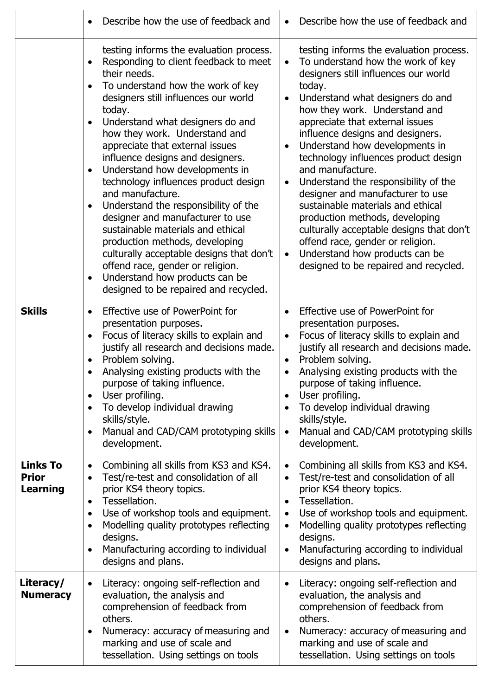|                                                    | Describe how the use of feedback and                                                                                                                                                                                                                                                                                                                                                                                                                                                                                                                                                                                                                                                                                                                                      | Describe how the use of feedback and                                                                                                                                                                                                                                                                                                                                                                                                                                                                                                                                                                                                                                                                                          |
|----------------------------------------------------|---------------------------------------------------------------------------------------------------------------------------------------------------------------------------------------------------------------------------------------------------------------------------------------------------------------------------------------------------------------------------------------------------------------------------------------------------------------------------------------------------------------------------------------------------------------------------------------------------------------------------------------------------------------------------------------------------------------------------------------------------------------------------|-------------------------------------------------------------------------------------------------------------------------------------------------------------------------------------------------------------------------------------------------------------------------------------------------------------------------------------------------------------------------------------------------------------------------------------------------------------------------------------------------------------------------------------------------------------------------------------------------------------------------------------------------------------------------------------------------------------------------------|
|                                                    | testing informs the evaluation process.<br>Responding to client feedback to meet<br>their needs.<br>To understand how the work of key<br>designers still influences our world<br>today.<br>Understand what designers do and<br>how they work. Understand and<br>appreciate that external issues<br>influence designs and designers.<br>Understand how developments in<br>$\bullet$<br>technology influences product design<br>and manufacture.<br>Understand the responsibility of the<br>designer and manufacturer to use<br>sustainable materials and ethical<br>production methods, developing<br>culturally acceptable designs that don't<br>offend race, gender or religion.<br>Understand how products can be<br>$\bullet$<br>designed to be repaired and recycled. | testing informs the evaluation process.<br>To understand how the work of key<br>$\bullet$<br>designers still influences our world<br>today.<br>Understand what designers do and<br>how they work. Understand and<br>appreciate that external issues<br>influence designs and designers.<br>Understand how developments in<br>technology influences product design<br>and manufacture.<br>Understand the responsibility of the<br>$\bullet$<br>designer and manufacturer to use<br>sustainable materials and ethical<br>production methods, developing<br>culturally acceptable designs that don't<br>offend race, gender or religion.<br>Understand how products can be<br>$\bullet$<br>designed to be repaired and recycled. |
| <b>Skills</b>                                      | Effective use of PowerPoint for<br>$\bullet$<br>presentation purposes.<br>Focus of literacy skills to explain and<br>$\bullet$<br>justify all research and decisions made.<br>Problem solving.<br>Analysing existing products with the<br>purpose of taking influence.<br>User profiling.<br>$\bullet$<br>To develop individual drawing<br>$\bullet$<br>skills/style.<br>Manual and CAD/CAM prototyping skills<br>$\bullet$<br>development.                                                                                                                                                                                                                                                                                                                               | Effective use of PowerPoint for<br>presentation purposes.<br>Focus of literacy skills to explain and<br>justify all research and decisions made.<br>Problem solving.<br>Analysing existing products with the<br>$\bullet$<br>purpose of taking influence.<br>User profiling.<br>$\bullet$<br>To develop individual drawing<br>$\bullet$<br>skills/style.<br>Manual and CAD/CAM prototyping skills<br>$\bullet$<br>development.                                                                                                                                                                                                                                                                                                |
| <b>Links To</b><br><b>Prior</b><br><b>Learning</b> | Combining all skills from KS3 and KS4.<br>$\bullet$<br>Test/re-test and consolidation of all<br>$\bullet$<br>prior KS4 theory topics.<br>Tessellation.<br>$\bullet$<br>Use of workshop tools and equipment.<br>$\bullet$<br>Modelling quality prototypes reflecting<br>$\bullet$<br>designs.<br>Manufacturing according to individual<br>$\bullet$<br>designs and plans.                                                                                                                                                                                                                                                                                                                                                                                                  | Combining all skills from KS3 and KS4.<br>$\bullet$<br>Test/re-test and consolidation of all<br>$\bullet$<br>prior KS4 theory topics.<br>Tessellation.<br>$\bullet$<br>Use of workshop tools and equipment.<br>$\bullet$<br>Modelling quality prototypes reflecting<br>$\bullet$<br>designs.<br>Manufacturing according to individual<br>$\bullet$<br>designs and plans.                                                                                                                                                                                                                                                                                                                                                      |
| Literacy/<br><b>Numeracy</b>                       | Literacy: ongoing self-reflection and<br>$\bullet$<br>evaluation, the analysis and<br>comprehension of feedback from<br>others.<br>Numeracy: accuracy of measuring and<br>٠<br>marking and use of scale and<br>tessellation. Using settings on tools                                                                                                                                                                                                                                                                                                                                                                                                                                                                                                                      | Literacy: ongoing self-reflection and<br>$\bullet$<br>evaluation, the analysis and<br>comprehension of feedback from<br>others.<br>Numeracy: accuracy of measuring and<br>$\bullet$<br>marking and use of scale and<br>tessellation. Using settings on tools                                                                                                                                                                                                                                                                                                                                                                                                                                                                  |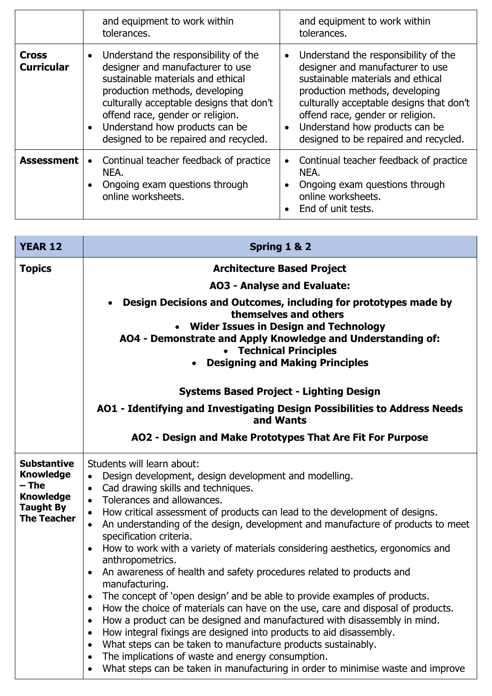|                                   | and equipment to work within<br>tolerances.                                                                                                                                                                                                                                                                             | and equipment to work within<br>tolerances.                                                                                                                                                                                                                                                                                          |
|-----------------------------------|-------------------------------------------------------------------------------------------------------------------------------------------------------------------------------------------------------------------------------------------------------------------------------------------------------------------------|--------------------------------------------------------------------------------------------------------------------------------------------------------------------------------------------------------------------------------------------------------------------------------------------------------------------------------------|
| <b>Cross</b><br><b>Curricular</b> | Understand the responsibility of the<br>designer and manufacturer to use<br>sustainable materials and ethical<br>production methods, developing<br>culturally acceptable designs that don't<br>offend race, gender or religion.<br>Understand how products can be<br>$\bullet$<br>designed to be repaired and recycled. | Understand the responsibility of the<br>$\bullet$<br>designer and manufacturer to use<br>sustainable materials and ethical<br>production methods, developing<br>culturally acceptable designs that don't<br>offend race, gender or religion.<br>Understand how products can be<br>$\bullet$<br>designed to be repaired and recycled. |
| <b>Assessment</b>                 | Continual teacher feedback of practice<br>$\bullet$<br>NEA.<br>Ongoing exam questions through<br>online worksheets.                                                                                                                                                                                                     | Continual teacher feedback of practice<br>NEA.<br>Ongoing exam questions through<br>$\bullet$<br>online worksheets.<br>End of unit tests.                                                                                                                                                                                            |

| <b>YEAR 12</b>                                                                                                | Spring 1 & 2                                                                                                                                                                                                                                                                                                                                                                                                                                                                                                                                                                                                                                                                                                                                                                                                                                                                                                                                                                                                                                                                                                                                                                                                                                             |  |
|---------------------------------------------------------------------------------------------------------------|----------------------------------------------------------------------------------------------------------------------------------------------------------------------------------------------------------------------------------------------------------------------------------------------------------------------------------------------------------------------------------------------------------------------------------------------------------------------------------------------------------------------------------------------------------------------------------------------------------------------------------------------------------------------------------------------------------------------------------------------------------------------------------------------------------------------------------------------------------------------------------------------------------------------------------------------------------------------------------------------------------------------------------------------------------------------------------------------------------------------------------------------------------------------------------------------------------------------------------------------------------|--|
| <b>Topics</b>                                                                                                 | <b>Architecture Based Project</b>                                                                                                                                                                                                                                                                                                                                                                                                                                                                                                                                                                                                                                                                                                                                                                                                                                                                                                                                                                                                                                                                                                                                                                                                                        |  |
|                                                                                                               | <b>AO3 - Analyse and Evaluate:</b>                                                                                                                                                                                                                                                                                                                                                                                                                                                                                                                                                                                                                                                                                                                                                                                                                                                                                                                                                                                                                                                                                                                                                                                                                       |  |
|                                                                                                               | Design Decisions and Outcomes, including for prototypes made by<br>$\bullet$<br>themselves and others<br>• Wider Issues in Design and Technology<br>AO4 - Demonstrate and Apply Knowledge and Understanding of:<br>• Technical Principles<br><b>Designing and Making Principles</b>                                                                                                                                                                                                                                                                                                                                                                                                                                                                                                                                                                                                                                                                                                                                                                                                                                                                                                                                                                      |  |
|                                                                                                               | <b>Systems Based Project - Lighting Design</b>                                                                                                                                                                                                                                                                                                                                                                                                                                                                                                                                                                                                                                                                                                                                                                                                                                                                                                                                                                                                                                                                                                                                                                                                           |  |
|                                                                                                               | AO1 - Identifying and Investigating Design Possibilities to Address Needs<br>and Wants                                                                                                                                                                                                                                                                                                                                                                                                                                                                                                                                                                                                                                                                                                                                                                                                                                                                                                                                                                                                                                                                                                                                                                   |  |
|                                                                                                               | AO2 - Design and Make Prototypes That Are Fit For Purpose                                                                                                                                                                                                                                                                                                                                                                                                                                                                                                                                                                                                                                                                                                                                                                                                                                                                                                                                                                                                                                                                                                                                                                                                |  |
| <b>Substantive</b><br><b>Knowledge</b><br>– The<br><b>Knowledge</b><br><b>Taught By</b><br><b>The Teacher</b> | Students will learn about:<br>Design development, design development and modelling.<br>$\bullet$<br>Cad drawing skills and techniques.<br>$\bullet$<br>Tolerances and allowances.<br>$\bullet$<br>How critical assessment of products can lead to the development of designs.<br>$\bullet$<br>An understanding of the design, development and manufacture of products to meet<br>$\bullet$<br>specification criteria.<br>How to work with a variety of materials considering aesthetics, ergonomics and<br>$\bullet$<br>anthropometrics.<br>An awareness of health and safety procedures related to products and<br>$\bullet$<br>manufacturing.<br>The concept of 'open design' and be able to provide examples of products.<br>$\bullet$<br>How the choice of materials can have on the use, care and disposal of products.<br>How a product can be designed and manufactured with disassembly in mind.<br>$\bullet$<br>How integral fixings are designed into products to aid disassembly.<br>$\bullet$<br>What steps can be taken to manufacture products sustainably.<br>$\bullet$<br>The implications of waste and energy consumption.<br>$\bullet$<br>What steps can be taken in manufacturing in order to minimise waste and improve<br>$\bullet$ |  |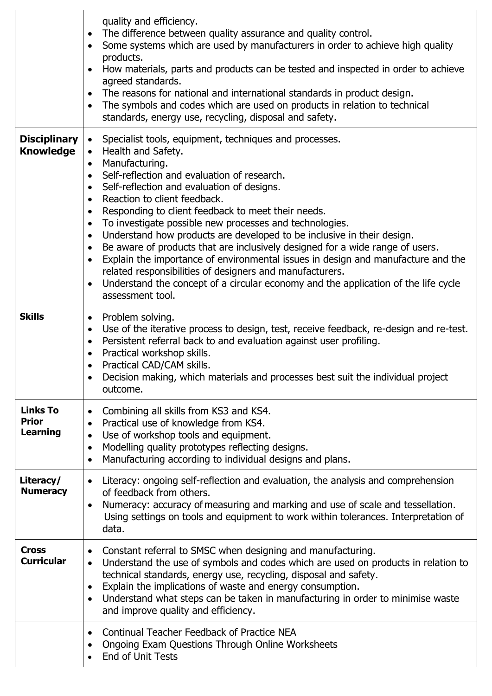|                                                    | quality and efficiency.<br>The difference between quality assurance and quality control.<br>$\bullet$<br>Some systems which are used by manufacturers in order to achieve high quality<br>$\bullet$<br>products.<br>How materials, parts and products can be tested and inspected in order to achieve<br>$\bullet$<br>agreed standards.<br>The reasons for national and international standards in product design.<br>$\bullet$<br>The symbols and codes which are used on products in relation to technical<br>$\bullet$<br>standards, energy use, recycling, disposal and safety.                                                                                                                                                                                                                                                                                                                                           |
|----------------------------------------------------|-------------------------------------------------------------------------------------------------------------------------------------------------------------------------------------------------------------------------------------------------------------------------------------------------------------------------------------------------------------------------------------------------------------------------------------------------------------------------------------------------------------------------------------------------------------------------------------------------------------------------------------------------------------------------------------------------------------------------------------------------------------------------------------------------------------------------------------------------------------------------------------------------------------------------------|
| <b>Disciplinary</b><br><b>Knowledge</b>            | Specialist tools, equipment, techniques and processes.<br>$\bullet$<br>Health and Safety.<br>$\bullet$<br>Manufacturing.<br>$\bullet$<br>Self-reflection and evaluation of research.<br>$\bullet$<br>Self-reflection and evaluation of designs.<br>$\bullet$<br>Reaction to client feedback.<br>$\bullet$<br>Responding to client feedback to meet their needs.<br>$\bullet$<br>To investigate possible new processes and technologies.<br>$\bullet$<br>Understand how products are developed to be inclusive in their design.<br>$\bullet$<br>Be aware of products that are inclusively designed for a wide range of users.<br>$\bullet$<br>Explain the importance of environmental issues in design and manufacture and the<br>$\bullet$<br>related responsibilities of designers and manufacturers.<br>Understand the concept of a circular economy and the application of the life cycle<br>$\bullet$<br>assessment tool. |
| <b>Skills</b>                                      | Problem solving.<br>$\bullet$<br>Use of the iterative process to design, test, receive feedback, re-design and re-test.<br>$\bullet$<br>Persistent referral back to and evaluation against user profiling.<br>$\bullet$<br>Practical workshop skills.<br>$\bullet$<br>Practical CAD/CAM skills.<br>Decision making, which materials and processes best suit the individual project<br>outcome.                                                                                                                                                                                                                                                                                                                                                                                                                                                                                                                                |
| <b>Links To</b><br><b>Prior</b><br><b>Learning</b> | Combining all skills from KS3 and KS4.<br>$\bullet$<br>Practical use of knowledge from KS4.<br>$\bullet$<br>Use of workshop tools and equipment.<br>$\bullet$<br>Modelling quality prototypes reflecting designs.<br>$\bullet$<br>Manufacturing according to individual designs and plans.<br>$\bullet$                                                                                                                                                                                                                                                                                                                                                                                                                                                                                                                                                                                                                       |
| Literacy/<br><b>Numeracy</b>                       | Literacy: ongoing self-reflection and evaluation, the analysis and comprehension<br>$\bullet$<br>of feedback from others.<br>Numeracy: accuracy of measuring and marking and use of scale and tessellation.<br>$\bullet$<br>Using settings on tools and equipment to work within tolerances. Interpretation of<br>data.                                                                                                                                                                                                                                                                                                                                                                                                                                                                                                                                                                                                       |
| <b>Cross</b><br><b>Curricular</b>                  | Constant referral to SMSC when designing and manufacturing.<br>$\bullet$<br>Understand the use of symbols and codes which are used on products in relation to<br>$\bullet$<br>technical standards, energy use, recycling, disposal and safety.<br>Explain the implications of waste and energy consumption.<br>$\bullet$<br>Understand what steps can be taken in manufacturing in order to minimise waste<br>$\bullet$<br>and improve quality and efficiency.                                                                                                                                                                                                                                                                                                                                                                                                                                                                |
|                                                    | Continual Teacher Feedback of Practice NEA<br>$\bullet$<br>Ongoing Exam Questions Through Online Worksheets<br>$\bullet$<br>End of Unit Tests                                                                                                                                                                                                                                                                                                                                                                                                                                                                                                                                                                                                                                                                                                                                                                                 |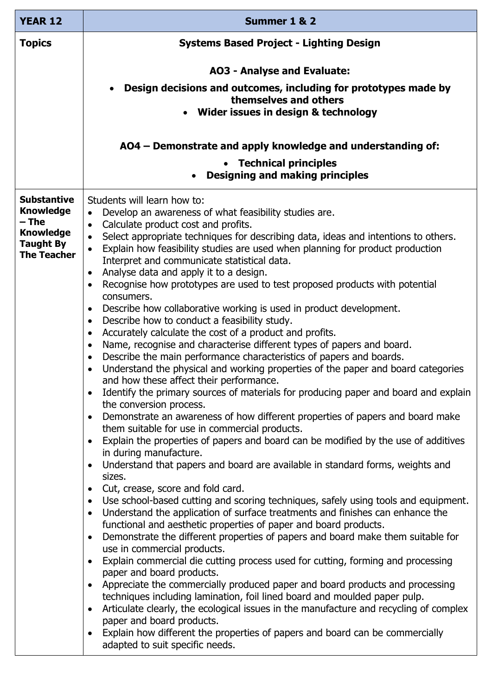| <b>YEAR 12</b>                                             | Summer 1 & 2                                                                                                                                                                                                                                                                                        |  |
|------------------------------------------------------------|-----------------------------------------------------------------------------------------------------------------------------------------------------------------------------------------------------------------------------------------------------------------------------------------------------|--|
| <b>Topics</b>                                              | <b>Systems Based Project - Lighting Design</b>                                                                                                                                                                                                                                                      |  |
|                                                            | <b>AO3 - Analyse and Evaluate:</b>                                                                                                                                                                                                                                                                  |  |
|                                                            | Design decisions and outcomes, including for prototypes made by<br>themselves and others<br>• Wider issues in design & technology                                                                                                                                                                   |  |
|                                                            | AO4 – Demonstrate and apply knowledge and understanding of:                                                                                                                                                                                                                                         |  |
|                                                            | <b>Technical principles</b><br><b>Designing and making principles</b>                                                                                                                                                                                                                               |  |
| <b>Substantive</b><br><b>Knowledge</b>                     | Students will learn how to:<br>Develop an awareness of what feasibility studies are.<br>$\bullet$                                                                                                                                                                                                   |  |
| $-$ The                                                    | Calculate product cost and profits.<br>$\bullet$                                                                                                                                                                                                                                                    |  |
| <b>Knowledge</b><br><b>Taught By</b><br><b>The Teacher</b> | Select appropriate techniques for describing data, ideas and intentions to others.<br>$\bullet$<br>Explain how feasibility studies are used when planning for product production<br>$\bullet$<br>Interpret and communicate statistical data.<br>Analyse data and apply it to a design.<br>$\bullet$ |  |
|                                                            | Recognise how prototypes are used to test proposed products with potential<br>$\bullet$<br>consumers.                                                                                                                                                                                               |  |
|                                                            | Describe how collaborative working is used in product development.<br>$\bullet$                                                                                                                                                                                                                     |  |
|                                                            | Describe how to conduct a feasibility study.<br>$\bullet$                                                                                                                                                                                                                                           |  |
|                                                            | Accurately calculate the cost of a product and profits.<br>$\bullet$<br>Name, recognise and characterise different types of papers and board.<br>$\bullet$                                                                                                                                          |  |
|                                                            | Describe the main performance characteristics of papers and boards.<br>$\bullet$                                                                                                                                                                                                                    |  |
|                                                            | Understand the physical and working properties of the paper and board categories<br>$\bullet$<br>and how these affect their performance.                                                                                                                                                            |  |
|                                                            | Identify the primary sources of materials for producing paper and board and explain<br>the conversion process.                                                                                                                                                                                      |  |
|                                                            | Demonstrate an awareness of how different properties of papers and board make<br>them suitable for use in commercial products.                                                                                                                                                                      |  |
|                                                            | Explain the properties of papers and board can be modified by the use of additives<br>in during manufacture.                                                                                                                                                                                        |  |
|                                                            | Understand that papers and board are available in standard forms, weights and<br>sizes.                                                                                                                                                                                                             |  |
|                                                            | Cut, crease, score and fold card.<br>$\bullet$                                                                                                                                                                                                                                                      |  |
|                                                            | Use school-based cutting and scoring techniques, safely using tools and equipment.<br>$\bullet$<br>Understand the application of surface treatments and finishes can enhance the<br>$\bullet$<br>functional and aesthetic properties of paper and board products.                                   |  |
|                                                            | Demonstrate the different properties of papers and board make them suitable for<br>$\bullet$<br>use in commercial products.                                                                                                                                                                         |  |
|                                                            | Explain commercial die cutting process used for cutting, forming and processing<br>paper and board products.                                                                                                                                                                                        |  |
|                                                            | Appreciate the commercially produced paper and board products and processing                                                                                                                                                                                                                        |  |
|                                                            | techniques including lamination, foil lined board and moulded paper pulp.                                                                                                                                                                                                                           |  |
|                                                            | Articulate clearly, the ecological issues in the manufacture and recycling of complex                                                                                                                                                                                                               |  |
|                                                            | paper and board products.<br>Explain how different the properties of papers and board can be commercially<br>$\bullet$<br>adapted to suit specific needs.                                                                                                                                           |  |